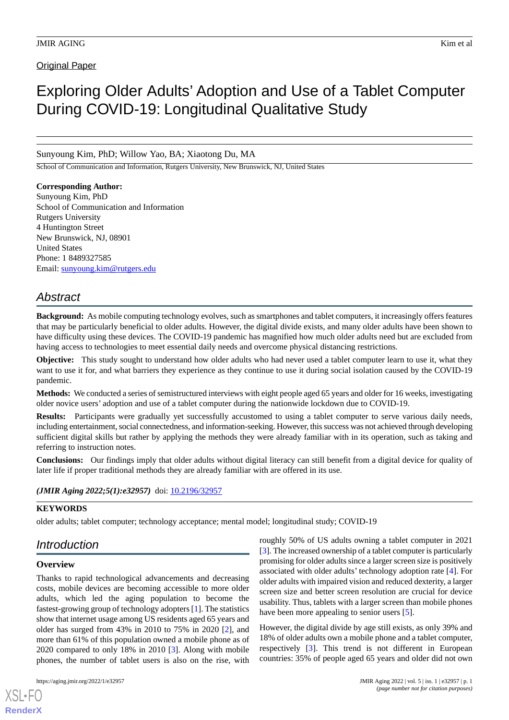## **Original Paper**

# Exploring Older Adults' Adoption and Use of a Tablet Computer During COVID-19: Longitudinal Qualitative Study

Sunyoung Kim, PhD; Willow Yao, BA; Xiaotong Du, MA

School of Communication and Information, Rutgers University, New Brunswick, NJ, United States

### **Corresponding Author:**

Sunyoung Kim, PhD School of Communication and Information Rutgers University 4 Huntington Street New Brunswick, NJ, 08901 United States Phone: 1 8489327585 Email: [sunyoung.kim@rutgers.edu](mailto:sunyoung.kim@rutgers.edu)

## *Abstract*

**Background:** As mobile computing technology evolves, such as smartphones and tablet computers, it increasingly offers features that may be particularly beneficial to older adults. However, the digital divide exists, and many older adults have been shown to have difficulty using these devices. The COVID-19 pandemic has magnified how much older adults need but are excluded from having access to technologies to meet essential daily needs and overcome physical distancing restrictions.

**Objective:** This study sought to understand how older adults who had never used a tablet computer learn to use it, what they want to use it for, and what barriers they experience as they continue to use it during social isolation caused by the COVID-19 pandemic.

**Methods:** We conducted a series of semistructured interviews with eight people aged 65 years and older for 16 weeks, investigating older novice users' adoption and use of a tablet computer during the nationwide lockdown due to COVID-19.

**Results:** Participants were gradually yet successfully accustomed to using a tablet computer to serve various daily needs, including entertainment, social connectedness, and information-seeking. However, this success was not achieved through developing sufficient digital skills but rather by applying the methods they were already familiar with in its operation, such as taking and referring to instruction notes.

**Conclusions:** Our findings imply that older adults without digital literacy can still benefit from a digital device for quality of later life if proper traditional methods they are already familiar with are offered in its use.

#### (JMIR Aging 2022;5(1):e32957) doi: [10.2196/32957](http://dx.doi.org/10.2196/32957)

#### **KEYWORDS**

older adults; tablet computer; technology acceptance; mental model; longitudinal study; COVID-19

## *Introduction*

#### **Overview**

[XSL](http://www.w3.org/Style/XSL)•FO **[RenderX](http://www.renderx.com/)**

Thanks to rapid technological advancements and decreasing costs, mobile devices are becoming accessible to more older adults, which led the aging population to become the fastest-growing group of technology adopters [\[1](#page-10-0)]. The statistics show that internet usage among US residents aged 65 years and older has surged from 43% in 2010 to 75% in 2020 [[2\]](#page-10-1), and more than 61% of this population owned a mobile phone as of 2020 compared to only 18% in 2010 [\[3](#page-10-2)]. Along with mobile phones, the number of tablet users is also on the rise, with

roughly 50% of US adults owning a tablet computer in 2021 [[3\]](#page-10-2). The increased ownership of a tablet computer is particularly promising for older adults since a larger screen size is positively associated with older adults' technology adoption rate [[4\]](#page-10-3). For older adults with impaired vision and reduced dexterity, a larger screen size and better screen resolution are crucial for device usability. Thus, tablets with a larger screen than mobile phones have been more appealing to senior users [\[5](#page-10-4)].

However, the digital divide by age still exists, as only 39% and 18% of older adults own a mobile phone and a tablet computer, respectively [\[3](#page-10-2)]. This trend is not different in European countries: 35% of people aged 65 years and older did not own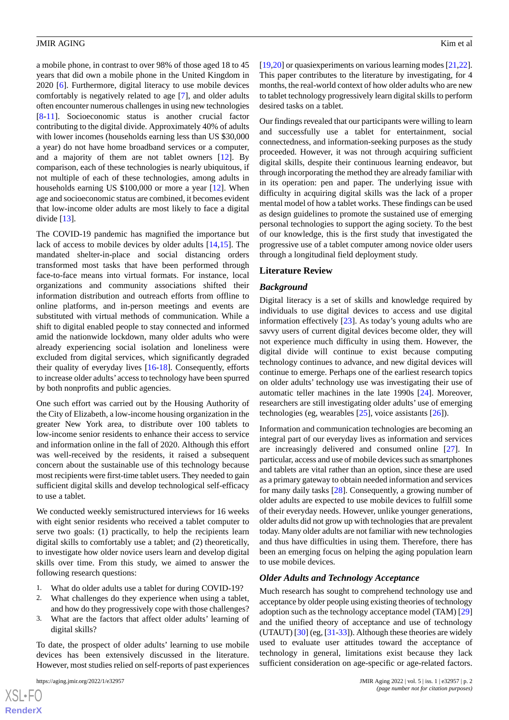a mobile phone, in contrast to over 98% of those aged 18 to 45 years that did own a mobile phone in the United Kingdom in 2020 [\[6](#page-10-5)]. Furthermore, digital literacy to use mobile devices comfortably is negatively related to age [[7\]](#page-10-6), and older adults often encounter numerous challenges in using new technologies [[8](#page-10-7)[-11](#page-10-8)]. Socioeconomic status is another crucial factor contributing to the digital divide. Approximately 40% of adults with lower incomes (households earning less than US \$30,000 a year) do not have home broadband services or a computer, and a majority of them are not tablet owners [[12\]](#page-10-9). By comparison, each of these technologies is nearly ubiquitous, if not multiple of each of these technologies, among adults in households earning US \$100,000 or more a year [[12\]](#page-10-9). When age and socioeconomic status are combined, it becomes evident that low-income older adults are most likely to face a digital divide [\[13](#page-10-10)].

The COVID-19 pandemic has magnified the importance but lack of access to mobile devices by older adults [[14,](#page-10-11)[15](#page-10-12)]. The mandated shelter-in-place and social distancing orders transformed most tasks that have been performed through face-to-face means into virtual formats. For instance, local organizations and community associations shifted their information distribution and outreach efforts from offline to online platforms, and in-person meetings and events are substituted with virtual methods of communication. While a shift to digital enabled people to stay connected and informed amid the nationwide lockdown, many older adults who were already experiencing social isolation and loneliness were excluded from digital services, which significantly degraded their quality of everyday lives [[16-](#page-10-13)[18](#page-10-14)]. Consequently, efforts to increase older adults' access to technology have been spurred by both nonprofits and public agencies.

One such effort was carried out by the Housing Authority of the City of Elizabeth, a low-income housing organization in the greater New York area, to distribute over 100 tablets to low-income senior residents to enhance their access to service and information online in the fall of 2020. Although this effort was well-received by the residents, it raised a subsequent concern about the sustainable use of this technology because most recipients were first-time tablet users. They needed to gain sufficient digital skills and develop technological self-efficacy to use a tablet.

We conducted weekly semistructured interviews for 16 weeks with eight senior residents who received a tablet computer to serve two goals: (1) practically, to help the recipients learn digital skills to comfortably use a tablet; and (2) theoretically, to investigate how older novice users learn and develop digital skills over time. From this study, we aimed to answer the following research questions:

- 1. What do older adults use a tablet for during COVID-19?
- 2. What challenges do they experience when using a tablet, and how do they progressively cope with those challenges?
- 3. What are the factors that affect older adults' learning of digital skills?

To date, the prospect of older adults' learning to use mobile devices has been extensively discussed in the literature. However, most studies relied on self-reports of past experiences

[[19](#page-10-15)[,20](#page-11-0)] or quasiexperiments on various learning modes [[21,](#page-11-1)[22\]](#page-11-2). This paper contributes to the literature by investigating, for 4 months, the real-world context of how older adults who are new to tablet technology progressively learn digital skills to perform desired tasks on a tablet.

Our findings revealed that our participants were willing to learn and successfully use a tablet for entertainment, social connectedness, and information-seeking purposes as the study proceeded. However, it was not through acquiring sufficient digital skills, despite their continuous learning endeavor, but through incorporating the method they are already familiar with in its operation: pen and paper. The underlying issue with difficulty in acquiring digital skills was the lack of a proper mental model of how a tablet works. These findings can be used as design guidelines to promote the sustained use of emerging personal technologies to support the aging society. To the best of our knowledge, this is the first study that investigated the progressive use of a tablet computer among novice older users through a longitudinal field deployment study.

#### **Literature Review**

#### *Background*

Digital literacy is a set of skills and knowledge required by individuals to use digital devices to access and use digital information effectively [[23\]](#page-11-3). As today's young adults who are savvy users of current digital devices become older, they will not experience much difficulty in using them. However, the digital divide will continue to exist because computing technology continues to advance, and new digital devices will continue to emerge. Perhaps one of the earliest research topics on older adults' technology use was investigating their use of automatic teller machines in the late 1990s [[24\]](#page-11-4). Moreover, researchers are still investigating older adults' use of emerging technologies (eg, wearables [\[25](#page-11-5)], voice assistants [\[26](#page-11-6)]).

Information and communication technologies are becoming an integral part of our everyday lives as information and services are increasingly delivered and consumed online [\[27](#page-11-7)]. In particular, access and use of mobile devices such as smartphones and tablets are vital rather than an option, since these are used as a primary gateway to obtain needed information and services for many daily tasks [[28\]](#page-11-8). Consequently, a growing number of older adults are expected to use mobile devices to fulfill some of their everyday needs. However, unlike younger generations, older adults did not grow up with technologies that are prevalent today. Many older adults are not familiar with new technologies and thus have difficulties in using them. Therefore, there has been an emerging focus on helping the aging population learn to use mobile devices.

#### *Older Adults and Technology Acceptance*

Much research has sought to comprehend technology use and acceptance by older people using existing theories of technology adoption such as the technology acceptance model (TAM) [\[29](#page-11-9)] and the unified theory of acceptance and use of technology (UTAUT)  $[30]$  $[30]$  (eg,  $[31-33]$  $[31-33]$  $[31-33]$ ). Although these theories are widely used to evaluate user attitudes toward the acceptance of technology in general, limitations exist because they lack sufficient consideration on age-specific or age-related factors.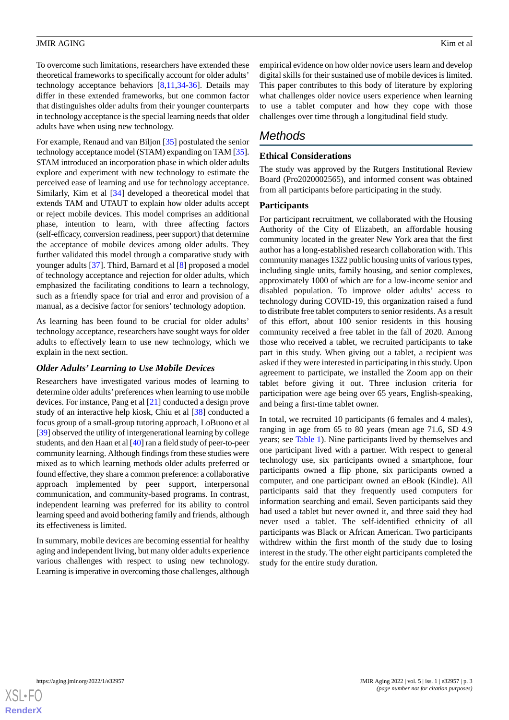To overcome such limitations, researchers have extended these theoretical frameworks to specifically account for older adults' technology acceptance behaviors  $[8,11,34-36]$  $[8,11,34-36]$  $[8,11,34-36]$  $[8,11,34-36]$  $[8,11,34-36]$  $[8,11,34-36]$ . Details may differ in these extended frameworks, but one common factor that distinguishes older adults from their younger counterparts in technology acceptance is the special learning needs that older adults have when using new technology.

For example, Renaud and van Biljon [[35\]](#page-11-15) postulated the senior technology acceptance model (STAM) expanding on TAM [\[35\]](#page-11-15). STAM introduced an incorporation phase in which older adults explore and experiment with new technology to estimate the perceived ease of learning and use for technology acceptance. Similarly, Kim et al [\[34](#page-11-13)] developed a theoretical model that extends TAM and UTAUT to explain how older adults accept or reject mobile devices. This model comprises an additional phase, intention to learn, with three affecting factors (self-efficacy, conversion readiness, peer support) that determine the acceptance of mobile devices among older adults. They further validated this model through a comparative study with younger adults [\[37](#page-11-16)]. Third, Barnard et al [[8\]](#page-10-7) proposed a model of technology acceptance and rejection for older adults, which emphasized the facilitating conditions to learn a technology, such as a friendly space for trial and error and provision of a manual, as a decisive factor for seniors' technology adoption.

As learning has been found to be crucial for older adults' technology acceptance, researchers have sought ways for older adults to effectively learn to use new technology, which we explain in the next section.

#### *Older Adults' Learning to Use Mobile Devices*

Researchers have investigated various modes of learning to determine older adults'preferences when learning to use mobile devices. For instance, Pang et al [\[21](#page-11-1)] conducted a design prove study of an interactive help kiosk, Chiu et al [\[38](#page-11-17)] conducted a focus group of a small-group tutoring approach, LoBuono et al [[39\]](#page-11-18) observed the utility of intergenerational learning by college students, and den Haan et al [\[40](#page-11-19)] ran a field study of peer-to-peer community learning. Although findings from these studies were mixed as to which learning methods older adults preferred or found effective, they share a common preference: a collaborative approach implemented by peer support, interpersonal communication, and community-based programs. In contrast, independent learning was preferred for its ability to control learning speed and avoid bothering family and friends, although its effectiveness is limited.

In summary, mobile devices are becoming essential for healthy aging and independent living, but many older adults experience various challenges with respect to using new technology. Learning is imperative in overcoming those challenges, although empirical evidence on how older novice users learn and develop digital skills for their sustained use of mobile devices is limited. This paper contributes to this body of literature by exploring what challenges older novice users experience when learning to use a tablet computer and how they cope with those challenges over time through a longitudinal field study.

## *Methods*

## **Ethical Considerations**

The study was approved by the Rutgers Institutional Review Board (Pro2020002565), and informed consent was obtained from all participants before participating in the study.

#### **Participants**

For participant recruitment, we collaborated with the Housing Authority of the City of Elizabeth, an affordable housing community located in the greater New York area that the first author has a long-established research collaboration with. This community manages 1322 public housing units of various types, including single units, family housing, and senior complexes, approximately 1000 of which are for a low-income senior and disabled population. To improve older adults' access to technology during COVID-19, this organization raised a fund to distribute free tablet computers to senior residents. As a result of this effort, about 100 senior residents in this housing community received a free tablet in the fall of 2020. Among those who received a tablet, we recruited participants to take part in this study. When giving out a tablet, a recipient was asked if they were interested in participating in this study. Upon agreement to participate, we installed the Zoom app on their tablet before giving it out. Three inclusion criteria for participation were age being over 65 years, English-speaking, and being a first-time tablet owner.

In total, we recruited 10 participants (6 females and 4 males), ranging in age from 65 to 80 years (mean age 71.6, SD 4.9 years; see [Table 1\)](#page-3-0). Nine participants lived by themselves and one participant lived with a partner. With respect to general technology use, six participants owned a smartphone, four participants owned a flip phone, six participants owned a computer, and one participant owned an eBook (Kindle). All participants said that they frequently used computers for information searching and email. Seven participants said they had used a tablet but never owned it, and three said they had never used a tablet. The self-identified ethnicity of all participants was Black or African American. Two participants withdrew within the first month of the study due to losing interest in the study. The other eight participants completed the study for the entire study duration.

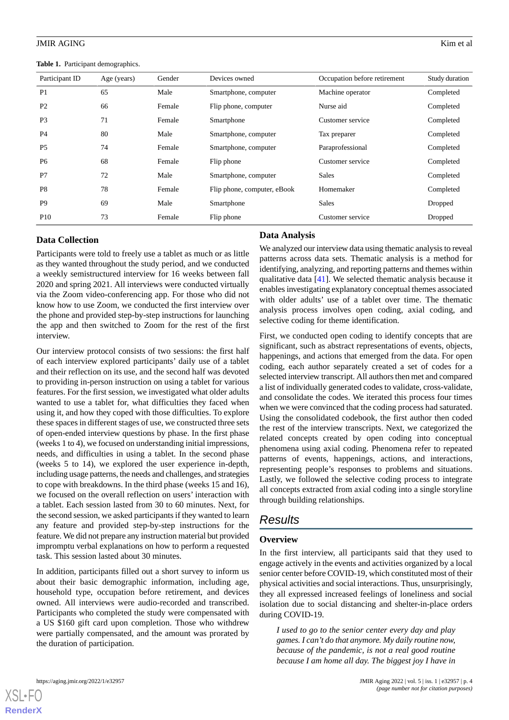<span id="page-3-0"></span>**Table 1.** Participant demographics.

| Participant ID | Age (years) | Gender | Devices owned               | Occupation before retirement | Study duration |
|----------------|-------------|--------|-----------------------------|------------------------------|----------------|
| P <sub>1</sub> | 65          | Male   | Smartphone, computer        | Machine operator             | Completed      |
| P <sub>2</sub> | 66          | Female | Flip phone, computer        | Nurse aid                    | Completed      |
| P <sub>3</sub> | 71          | Female | Smartphone                  | Customer service             | Completed      |
| P <sub>4</sub> | 80          | Male   | Smartphone, computer        | Tax preparer                 | Completed      |
| P <sub>5</sub> | 74          | Female | Smartphone, computer        | Paraprofessional             | Completed      |
| P <sub>6</sub> | 68          | Female | Flip phone                  | Customer service             | Completed      |
| P7             | 72          | Male   | Smartphone, computer        | <b>Sales</b>                 | Completed      |
| P <sub>8</sub> | 78          | Female | Flip phone, computer, eBook | Homemaker                    | Completed      |
| P <sub>9</sub> | 69          | Male   | Smartphone                  | Sales                        | Dropped        |
| <b>P10</b>     | 73          | Female | Flip phone                  | Customer service             | Dropped        |

## **Data Collection**

Participants were told to freely use a tablet as much or as little as they wanted throughout the study period, and we conducted a weekly semistructured interview for 16 weeks between fall 2020 and spring 2021. All interviews were conducted virtually via the Zoom video-conferencing app. For those who did not know how to use Zoom, we conducted the first interview over the phone and provided step-by-step instructions for launching the app and then switched to Zoom for the rest of the first interview.

Our interview protocol consists of two sessions: the first half of each interview explored participants' daily use of a tablet and their reflection on its use, and the second half was devoted to providing in-person instruction on using a tablet for various features. For the first session, we investigated what older adults wanted to use a tablet for, what difficulties they faced when using it, and how they coped with those difficulties. To explore these spaces in different stages of use, we constructed three sets of open-ended interview questions by phase. In the first phase (weeks 1 to 4), we focused on understanding initial impressions, needs, and difficulties in using a tablet. In the second phase (weeks 5 to 14), we explored the user experience in-depth, including usage patterns, the needs and challenges, and strategies to cope with breakdowns. In the third phase (weeks 15 and 16), we focused on the overall reflection on users' interaction with a tablet. Each session lasted from 30 to 60 minutes. Next, for the second session, we asked participants if they wanted to learn any feature and provided step-by-step instructions for the feature. We did not prepare any instruction material but provided impromptu verbal explanations on how to perform a requested task. This session lasted about 30 minutes.

In addition, participants filled out a short survey to inform us about their basic demographic information, including age, household type, occupation before retirement, and devices owned. All interviews were audio-recorded and transcribed. Participants who completed the study were compensated with a US \$160 gift card upon completion. Those who withdrew were partially compensated, and the amount was prorated by the duration of participation.

#### **Data Analysis**

We analyzed our interview data using thematic analysis to reveal patterns across data sets. Thematic analysis is a method for identifying, analyzing, and reporting patterns and themes within qualitative data [\[41](#page-11-20)]. We selected thematic analysis because it enables investigating explanatory conceptual themes associated with older adults' use of a tablet over time. The thematic analysis process involves open coding, axial coding, and selective coding for theme identification.

First, we conducted open coding to identify concepts that are significant, such as abstract representations of events, objects, happenings, and actions that emerged from the data. For open coding, each author separately created a set of codes for a selected interview transcript. All authors then met and compared a list of individually generated codes to validate, cross-validate, and consolidate the codes. We iterated this process four times when we were convinced that the coding process had saturated. Using the consolidated codebook, the first author then coded the rest of the interview transcripts. Next, we categorized the related concepts created by open coding into conceptual phenomena using axial coding. Phenomena refer to repeated patterns of events, happenings, actions, and interactions, representing people's responses to problems and situations. Lastly, we followed the selective coding process to integrate all concepts extracted from axial coding into a single storyline through building relationships.

## *Results*

#### **Overview**

In the first interview, all participants said that they used to engage actively in the events and activities organized by a local senior center before COVID-19, which constituted most of their physical activities and social interactions. Thus, unsurprisingly, they all expressed increased feelings of loneliness and social isolation due to social distancing and shelter-in-place orders during COVID-19.

*I used to go to the senior center every day and play games. I can't do that anymore. My daily routine now, because of the pandemic, is not a real good routine because I am home all day. The biggest joy I have in*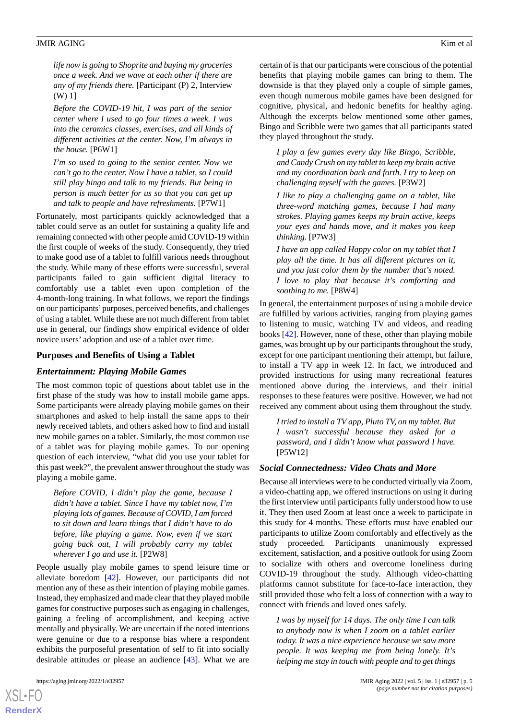*life now is going to Shoprite and buying my groceries once a week. And we wave at each other if there are any of my friends there.* [Participant (P) 2, Interview (W) 1]

*Before the COVID-19 hit, I was part of the senior center where I used to go four times a week. I was into the ceramics classes, exercises, and all kinds of different activities at the center. Now, I'm always in the house.* [P6W1]

*I'm so used to going to the senior center. Now we can't go to the center. Now I have a tablet, so I could still play bingo and talk to my friends. But being in person is much better for us so that you can get up and talk to people and have refreshments.* [P7W1]

Fortunately, most participants quickly acknowledged that a tablet could serve as an outlet for sustaining a quality life and remaining connected with other people amid COVID-19 within the first couple of weeks of the study. Consequently, they tried to make good use of a tablet to fulfill various needs throughout the study. While many of these efforts were successful, several participants failed to gain sufficient digital literacy to comfortably use a tablet even upon completion of the 4-month-long training. In what follows, we report the findings on our participants'purposes, perceived benefits, and challenges of using a tablet. While these are not much different from tablet use in general, our findings show empirical evidence of older novice users' adoption and use of a tablet over time.

#### **Purposes and Benefits of Using a Tablet**

#### *Entertainment: Playing Mobile Games*

The most common topic of questions about tablet use in the first phase of the study was how to install mobile game apps. Some participants were already playing mobile games on their smartphones and asked to help install the same apps to their newly received tablets, and others asked how to find and install new mobile games on a tablet. Similarly, the most common use of a tablet was for playing mobile games. To our opening question of each interview, "what did you use your tablet for this past week?", the prevalent answer throughout the study was playing a mobile game.

*Before COVID, I didn't play the game, because I didn't have a tablet. Since I have my tablet now, I'm playing lots of games. Because of COVID, I am forced to sit down and learn things that I didn't have to do before, like playing a game. Now, even if we start going back out, I will probably carry my tablet wherever I go and use it.* [P2W8]

People usually play mobile games to spend leisure time or alleviate boredom [[42\]](#page-11-21). However, our participants did not mention any of these as their intention of playing mobile games. Instead, they emphasized and made clear that they played mobile games for constructive purposes such as engaging in challenges, gaining a feeling of accomplishment, and keeping active mentally and physically. We are uncertain if the noted intentions were genuine or due to a response bias where a respondent exhibits the purposeful presentation of self to fit into socially desirable attitudes or please an audience [\[43](#page-11-22)]. What we are

[XSL](http://www.w3.org/Style/XSL)•FO **[RenderX](http://www.renderx.com/)**

certain of is that our participants were conscious of the potential benefits that playing mobile games can bring to them. The downside is that they played only a couple of simple games, even though numerous mobile games have been designed for cognitive, physical, and hedonic benefits for healthy aging. Although the excerpts below mentioned some other games, Bingo and Scribble were two games that all participants stated they played throughout the study.

*I play a few games every day like Bingo, Scribble, and Candy Crush on my tablet to keep my brain active and my coordination back and forth. I try to keep on challenging myself with the games.* [P3W2]

*I like to play a challenging game on a tablet, like three-word matching games, because I had many strokes. Playing games keeps my brain active, keeps your eyes and hands move, and it makes you keep thinking.* [P7W3]

*I have an app called Happy color on my tablet that I play all the time. It has all different pictures on it, and you just color them by the number that's noted. I love to play that because it's comforting and soothing to me.* [P8W4]

In general, the entertainment purposes of using a mobile device are fulfilled by various activities, ranging from playing games to listening to music, watching TV and videos, and reading books [\[42](#page-11-21)]. However, none of these, other than playing mobile games, was brought up by our participants throughout the study, except for one participant mentioning their attempt, but failure, to install a TV app in week 12. In fact, we introduced and provided instructions for using many recreational features mentioned above during the interviews, and their initial responses to these features were positive. However, we had not received any comment about using them throughout the study.

*I tried to install a TV app, Pluto TV, on my tablet. But I wasn't successful because they asked for a password, and I didn't know what password I have.* [P5W12]

## *Social Connectedness: Video Chats and More*

Because all interviews were to be conducted virtually via Zoom, a video-chatting app, we offered instructions on using it during the first interview until participants fully understood how to use it. They then used Zoom at least once a week to participate in this study for 4 months. These efforts must have enabled our participants to utilize Zoom comfortably and effectively as the study proceeded. Participants unanimously expressed excitement, satisfaction, and a positive outlook for using Zoom to socialize with others and overcome loneliness during COVID-19 throughout the study. Although video-chatting platforms cannot substitute for face-to-face interaction, they still provided those who felt a loss of connection with a way to connect with friends and loved ones safely.

*I was by myself for 14 days. The only time I can talk to anybody now is when I zoom on a tablet earlier today. It was a nice experience because we saw more people. It was keeping me from being lonely. It's helping me stay in touch with people and to get things*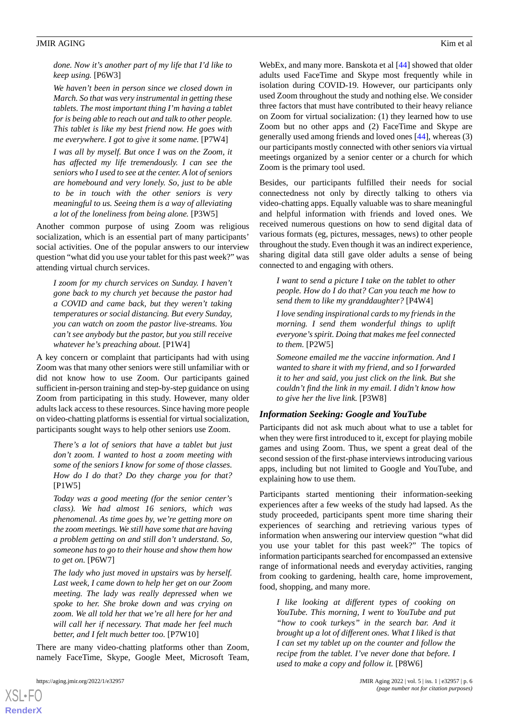*done. Now it's another part of my life that I'd like to keep using.* [P6W3]

*We haven't been in person since we closed down in March. So that was very instrumental in getting these tablets. The most important thing I'm having a tablet for is being able to reach out and talk to other people. This tablet is like my best friend now. He goes with me everywhere. I got to give it some name.* [P7W4]

*I was all by myself. But once I was on the Zoom, it has affected my life tremendously. I can see the seniors who I used to see at the center. A lot of seniors are homebound and very lonely. So, just to be able to be in touch with the other seniors is very meaningful to us. Seeing them is a way of alleviating a lot of the loneliness from being alone.* [P3W5]

Another common purpose of using Zoom was religious socialization, which is an essential part of many participants' social activities. One of the popular answers to our interview question "what did you use your tablet for this past week?" was attending virtual church services.

*I zoom for my church services on Sunday. I haven't gone back to my church yet because the pastor had a COVID and came back, but they weren't taking temperatures or social distancing. But every Sunday, you can watch on zoom the pastor live-streams. You can't see anybody but the pastor, but you still receive whatever he's preaching about.* [P1W4]

A key concern or complaint that participants had with using Zoom was that many other seniors were still unfamiliar with or did not know how to use Zoom. Our participants gained sufficient in-person training and step-by-step guidance on using Zoom from participating in this study. However, many older adults lack access to these resources. Since having more people on video-chatting platforms is essential for virtual socialization, participants sought ways to help other seniors use Zoom.

*There's a lot of seniors that have a tablet but just don't zoom. I wanted to host a zoom meeting with some of the seniors I know for some of those classes. How do I do that? Do they charge you for that?* [P1W5]

*Today was a good meeting (for the senior center's class). We had almost 16 seniors, which was phenomenal. As time goes by, we're getting more on the zoom meetings. We still have some that are having a problem getting on and still don't understand. So, someone has to go to their house and show them how to get on.* [P6W7]

*The lady who just moved in upstairs was by herself. Last week, I came down to help her get on our Zoom meeting. The lady was really depressed when we spoke to her. She broke down and was crying on zoom. We all told her that we're all here for her and will call her if necessary. That made her feel much better, and I felt much better too.* [P7W10]

There are many video-chatting platforms other than Zoom, namely FaceTime, Skype, Google Meet, Microsoft Team,

[XSL](http://www.w3.org/Style/XSL)•FO **[RenderX](http://www.renderx.com/)**

WebEx, and many more. Banskota et al [\[44](#page-11-23)] showed that older adults used FaceTime and Skype most frequently while in isolation during COVID-19. However, our participants only used Zoom throughout the study and nothing else. We consider three factors that must have contributed to their heavy reliance on Zoom for virtual socialization: (1) they learned how to use Zoom but no other apps and (2) FaceTime and Skype are generally used among friends and loved ones [[44\]](#page-11-23), whereas (3) our participants mostly connected with other seniors via virtual meetings organized by a senior center or a church for which Zoom is the primary tool used.

Besides, our participants fulfilled their needs for social connectedness not only by directly talking to others via video-chatting apps. Equally valuable was to share meaningful and helpful information with friends and loved ones. We received numerous questions on how to send digital data of various formats (eg, pictures, messages, news) to other people throughout the study. Even though it was an indirect experience, sharing digital data still gave older adults a sense of being connected to and engaging with others.

*I want to send a picture I take on the tablet to other people. How do I do that? Can you teach me how to send them to like my granddaughter?* [P4W4]

*I love sending inspirational cards to my friends in the morning. I send them wonderful things to uplift everyone's spirit. Doing that makes me feel connected to them.* [P2W5]

*Someone emailed me the vaccine information. And I wanted to share it with my friend, and so I forwarded it to her and said, you just click on the link. But she couldn't find the link in my email. I didn't know how to give her the live link.* [P3W8]

#### *Information Seeking: Google and YouTube*

Participants did not ask much about what to use a tablet for when they were first introduced to it, except for playing mobile games and using Zoom. Thus, we spent a great deal of the second session of the first-phase interviews introducing various apps, including but not limited to Google and YouTube, and explaining how to use them.

Participants started mentioning their information-seeking experiences after a few weeks of the study had lapsed. As the study proceeded, participants spent more time sharing their experiences of searching and retrieving various types of information when answering our interview question "what did you use your tablet for this past week?" The topics of information participants searched for encompassed an extensive range of informational needs and everyday activities, ranging from cooking to gardening, health care, home improvement, food, shopping, and many more.

*I like looking at different types of cooking on YouTube. This morning, I went to YouTube and put "how to cook turkeys" in the search bar. And it brought up a lot of different ones. What I liked is that I can set my tablet up on the counter and follow the recipe from the tablet. I've never done that before. I used to make a copy and follow it.* [P8W6]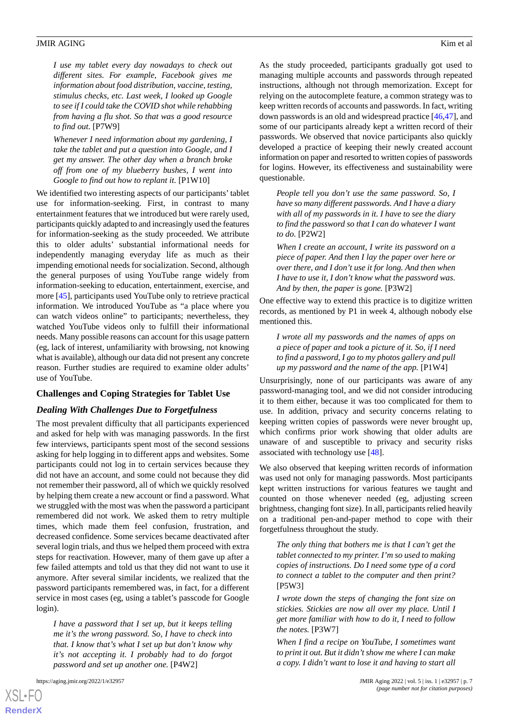*I use my tablet every day nowadays to check out different sites. For example, Facebook gives me information about food distribution, vaccine, testing, stimulus checks, etc. Last week, I looked up Google to see if I could take the COVID shot while rehabbing from having a flu shot. So that was a good resource to find out.* [P7W9]

*Whenever I need information about my gardening, I take the tablet and put a question into Google, and I get my answer. The other day when a branch broke off from one of my blueberry bushes, I went into Google to find out how to replant it.* [P1W10]

We identified two interesting aspects of our participants' tablet use for information-seeking. First, in contrast to many entertainment features that we introduced but were rarely used, participants quickly adapted to and increasingly used the features for information-seeking as the study proceeded. We attribute this to older adults' substantial informational needs for independently managing everyday life as much as their impending emotional needs for socialization. Second, although the general purposes of using YouTube range widely from information-seeking to education, entertainment, exercise, and more [[45\]](#page-11-24), participants used YouTube only to retrieve practical information. We introduced YouTube as "a place where you can watch videos online" to participants; nevertheless, they watched YouTube videos only to fulfill their informational needs. Many possible reasons can account for this usage pattern (eg, lack of interest, unfamiliarity with browsing, not knowing what is available), although our data did not present any concrete reason. Further studies are required to examine older adults' use of YouTube.

#### **Challenges and Coping Strategies for Tablet Use**

#### *Dealing With Challenges Due to Forgetfulness*

The most prevalent difficulty that all participants experienced and asked for help with was managing passwords. In the first few interviews, participants spent most of the second sessions asking for help logging in to different apps and websites. Some participants could not log in to certain services because they did not have an account, and some could not because they did not remember their password, all of which we quickly resolved by helping them create a new account or find a password. What we struggled with the most was when the password a participant remembered did not work. We asked them to retry multiple times, which made them feel confusion, frustration, and decreased confidence. Some services became deactivated after several login trials, and thus we helped them proceed with extra steps for reactivation. However, many of them gave up after a few failed attempts and told us that they did not want to use it anymore. After several similar incidents, we realized that the password participants remembered was, in fact, for a different service in most cases (eg, using a tablet's passcode for Google login).

*I have a password that I set up, but it keeps telling me it's the wrong password. So, I have to check into that. I know that's what I set up but don't know why it's not accepting it. I probably had to do forgot password and set up another one.* [P4W2]

[XSL](http://www.w3.org/Style/XSL)•FO **[RenderX](http://www.renderx.com/)**

As the study proceeded, participants gradually got used to managing multiple accounts and passwords through repeated instructions, although not through memorization. Except for relying on the autocomplete feature, a common strategy was to keep written records of accounts and passwords. In fact, writing down passwords is an old and widespread practice [[46](#page-12-0)[,47](#page-12-1)], and some of our participants already kept a written record of their passwords. We observed that novice participants also quickly developed a practice of keeping their newly created account information on paper and resorted to written copies of passwords for logins. However, its effectiveness and sustainability were questionable.

*People tell you don't use the same password. So, I have so many different passwords. And I have a diary with all of my passwords in it. I have to see the diary to find the password so that I can do whatever I want to do.* [P2W2]

*When I create an account, I write its password on a piece of paper. And then I lay the paper over here or over there, and I don't use it for long. And then when I have to use it, I don't know what the password was. And by then, the paper is gone.* [P3W2]

One effective way to extend this practice is to digitize written records, as mentioned by P1 in week 4, although nobody else mentioned this.

*I wrote all my passwords and the names of apps on a piece of paper and took a picture of it. So, if I need to find a password, I go to my photos gallery and pull up my password and the name of the app.* [P1W4]

Unsurprisingly, none of our participants was aware of any password-managing tool, and we did not consider introducing it to them either, because it was too complicated for them to use. In addition, privacy and security concerns relating to keeping written copies of passwords were never brought up, which confirms prior work showing that older adults are unaware of and susceptible to privacy and security risks associated with technology use [[48\]](#page-12-2).

We also observed that keeping written records of information was used not only for managing passwords. Most participants kept written instructions for various features we taught and counted on those whenever needed (eg, adjusting screen brightness, changing font size). In all, participants relied heavily on a traditional pen-and-paper method to cope with their forgetfulness throughout the study.

*The only thing that bothers me is that I can't get the tablet connected to my printer. I'm so used to making copies of instructions. Do I need some type of a cord to connect a tablet to the computer and then print?* [P5W3]

*I wrote down the steps of changing the font size on stickies. Stickies are now all over my place. Until I get more familiar with how to do it, I need to follow the notes.* [P3W7]

*When I find a recipe on YouTube, I sometimes want to print it out. But it didn't show me where I can make a copy. I didn't want to lose it and having to start all*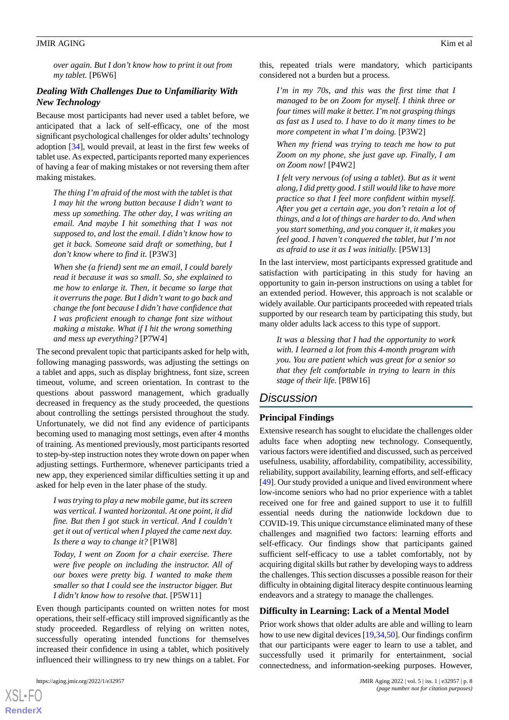*over again. But I don't know how to print it out from my tablet.* [P6W6]

## *Dealing With Challenges Due to Unfamiliarity With New Technology*

Because most participants had never used a tablet before, we anticipated that a lack of self-efficacy, one of the most significant psychological challenges for older adults'technology adoption [[34\]](#page-11-13), would prevail, at least in the first few weeks of tablet use. As expected, participants reported many experiences of having a fear of making mistakes or not reversing them after making mistakes.

*The thing I'm afraid of the most with the tablet is that I may hit the wrong button because I didn't want to mess up something. The other day, I was writing an email. And maybe I hit something that I was not supposed to, and lost the email. I didn't know how to get it back. Someone said draft or something, but I don't know where to find it.* [P3W3]

*When she (a friend) sent me an email, I could barely read it because it was so small. So, she explained to me how to enlarge it. Then, it became so large that it overruns the page. But I didn't want to go back and change the font because I didn't have confidence that I was proficient enough to change font size without making a mistake. What if I hit the wrong something and mess up everything?* [P7W4]

The second prevalent topic that participants asked for help with, following managing passwords, was adjusting the settings on a tablet and apps, such as display brightness, font size, screen timeout, volume, and screen orientation. In contrast to the questions about password management, which gradually decreased in frequency as the study proceeded, the questions about controlling the settings persisted throughout the study. Unfortunately, we did not find any evidence of participants becoming used to managing most settings, even after 4 months of training. As mentioned previously, most participants resorted to step-by-step instruction notes they wrote down on paper when adjusting settings. Furthermore, whenever participants tried a new app, they experienced similar difficulties setting it up and asked for help even in the later phase of the study.

*I was trying to play a new mobile game, but its screen was vertical. I wanted horizontal. At one point, it did fine. But then I got stuck in vertical. And I couldn't get it out of vertical when I played the came next day. Is there a way to change it?* [P1W8]

*Today, I went on Zoom for a chair exercise. There were five people on including the instructor. All of our boxes were pretty big. I wanted to make them smaller so that I could see the instructor bigger. But I didn't know how to resolve that.* [P5W11]

Even though participants counted on written notes for most operations, their self-efficacy still improved significantly as the study proceeded. Regardless of relying on written notes, successfully operating intended functions for themselves increased their confidence in using a tablet, which positively influenced their willingness to try new things on a tablet. For

[XSL](http://www.w3.org/Style/XSL)•FO **[RenderX](http://www.renderx.com/)**

this, repeated trials were mandatory, which participants considered not a burden but a process.

*I'm in my 70s, and this was the first time that I managed to be on Zoom for myself. I think three or four times will make it better. I'm not grasping things as fast as I used to. I have to do it many times to be more competent in what I'm doing.* [P3W2]

*When my friend was trying to teach me how to put Zoom on my phone, she just gave up. Finally, I am on Zoom now!* [P4W2]

*I felt very nervous (of using a tablet). But as it went along, I did pretty good. I still would like to have more practice so that I feel more confident within myself. After you get a certain age, you don't retain a lot of things, and a lot of things are harder to do. And when you start something, and you conquer it, it makes you feel good. I haven't conquered the tablet, but I'm not as afraid to use it as I was initially.* [P5W13]

In the last interview, most participants expressed gratitude and satisfaction with participating in this study for having an opportunity to gain in-person instructions on using a tablet for an extended period. However, this approach is not scalable or widely available. Our participants proceeded with repeated trials supported by our research team by participating this study, but many older adults lack access to this type of support.

*It was a blessing that I had the opportunity to work with. I learned a lot from this 4-month program with you. You are patient which was great for a senior so that they felt comfortable in trying to learn in this stage of their life.* [P8W16]

## *Discussion*

## **Principal Findings**

Extensive research has sought to elucidate the challenges older adults face when adopting new technology. Consequently, various factors were identified and discussed, such as perceived usefulness, usability, affordability, compatibility, accessibility, reliability, support availability, learning efforts, and self-efficacy [[49\]](#page-12-3). Our study provided a unique and lived environment where low-income seniors who had no prior experience with a tablet received one for free and gained support to use it to fulfill essential needs during the nationwide lockdown due to COVID-19. This unique circumstance eliminated many of these challenges and magnified two factors: learning efforts and self-efficacy. Our findings show that participants gained sufficient self-efficacy to use a tablet comfortably, not by acquiring digital skills but rather by developing ways to address the challenges. This section discusses a possible reason for their difficulty in obtaining digital literacy despite continuous learning endeavors and a strategy to manage the challenges.

#### **Difficulty in Learning: Lack of a Mental Model**

Prior work shows that older adults are able and willing to learn how to use new digital devices [[19,](#page-10-15)[34](#page-11-13)[,50](#page-12-4)]. Our findings confirm that our participants were eager to learn to use a tablet, and successfully used it primarily for entertainment, social connectedness, and information-seeking purposes. However,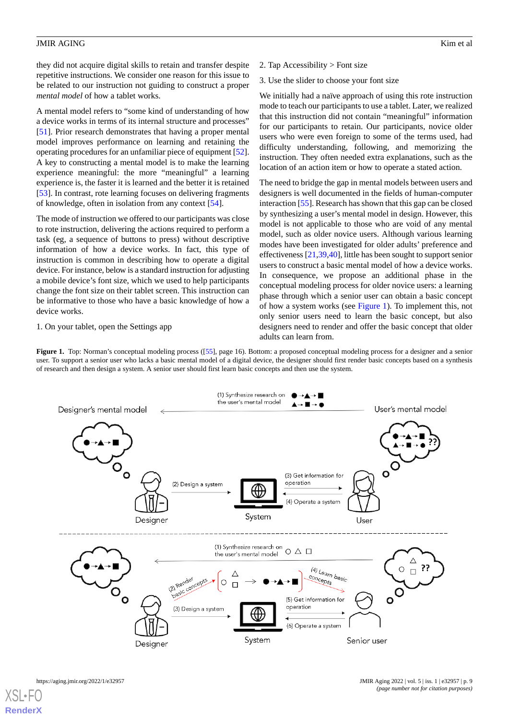they did not acquire digital skills to retain and transfer despite repetitive instructions. We consider one reason for this issue to be related to our instruction not guiding to construct a proper *mental model* of how a tablet works.

A mental model refers to "some kind of understanding of how a device works in terms of its internal structure and processes" [[51\]](#page-12-5). Prior research demonstrates that having a proper mental model improves performance on learning and retaining the operating procedures for an unfamiliar piece of equipment [[52\]](#page-12-6). A key to constructing a mental model is to make the learning experience meaningful: the more "meaningful" a learning experience is, the faster it is learned and the better it is retained [[53\]](#page-12-7). In contrast, rote learning focuses on delivering fragments of knowledge, often in isolation from any context [\[54](#page-12-8)].

The mode of instruction we offered to our participants was close to rote instruction, delivering the actions required to perform a task (eg, a sequence of buttons to press) without descriptive information of how a device works. In fact, this type of instruction is common in describing how to operate a digital device. For instance, below is a standard instruction for adjusting a mobile device's font size, which we used to help participants change the font size on their tablet screen. This instruction can be informative to those who have a basic knowledge of how a device works.

#### <span id="page-8-0"></span>1. On your tablet, open the Settings app

- 2. Tap Accessibility > Font size
- 3. Use the slider to choose your font size

We initially had a naïve approach of using this rote instruction mode to teach our participants to use a tablet. Later, we realized that this instruction did not contain "meaningful" information for our participants to retain. Our participants, novice older users who were even foreign to some of the terms used, had difficulty understanding, following, and memorizing the instruction. They often needed extra explanations, such as the location of an action item or how to operate a stated action.

The need to bridge the gap in mental models between users and designers is well documented in the fields of human-computer interaction [[55\]](#page-12-9). Research has shown that this gap can be closed by synthesizing a user's mental model in design. However, this model is not applicable to those who are void of any mental model, such as older novice users. Although various learning modes have been investigated for older adults' preference and effectiveness [\[21](#page-11-1)[,39](#page-11-18),[40\]](#page-11-19), little has been sought to support senior users to construct a basic mental model of how a device works. In consequence, we propose an additional phase in the conceptual modeling process for older novice users: a learning phase through which a senior user can obtain a basic concept of how a system works (see [Figure 1\)](#page-8-0). To implement this, not only senior users need to learn the basic concept, but also designers need to render and offer the basic concept that older adults can learn from.

**Figure 1.** Top: Norman's conceptual modeling process ([\[55](#page-12-9)], page 16). Bottom: a proposed conceptual modeling process for a designer and a senior user. To support a senior user who lacks a basic mental model of a digital device, the designer should first render basic concepts based on a synthesis of research and then design a system. A senior user should first learn basic concepts and then use the system.

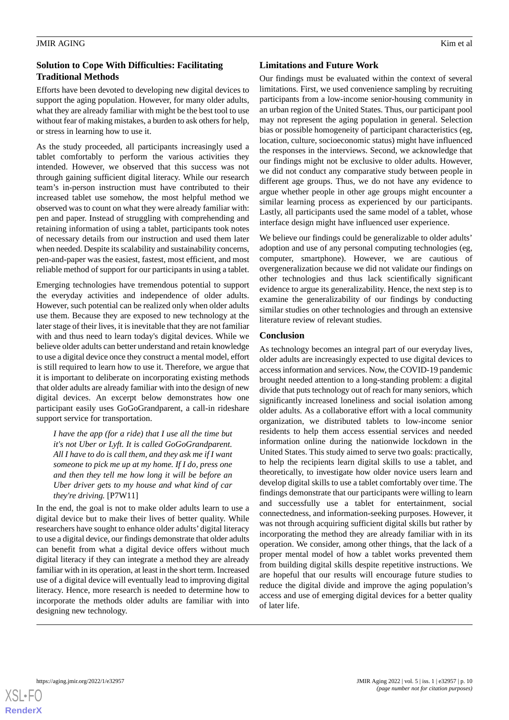## **Solution to Cope With Difficulties: Facilitating Traditional Methods**

Efforts have been devoted to developing new digital devices to support the aging population. However, for many older adults, what they are already familiar with might be the best tool to use without fear of making mistakes, a burden to ask others for help, or stress in learning how to use it.

As the study proceeded, all participants increasingly used a tablet comfortably to perform the various activities they intended. However, we observed that this success was not through gaining sufficient digital literacy. While our research team's in-person instruction must have contributed to their increased tablet use somehow, the most helpful method we observed was to count on what they were already familiar with: pen and paper. Instead of struggling with comprehending and retaining information of using a tablet, participants took notes of necessary details from our instruction and used them later when needed. Despite its scalability and sustainability concerns, pen-and-paper was the easiest, fastest, most efficient, and most reliable method of support for our participants in using a tablet.

Emerging technologies have tremendous potential to support the everyday activities and independence of older adults. However, such potential can be realized only when older adults use them. Because they are exposed to new technology at the later stage of their lives, it is inevitable that they are not familiar with and thus need to learn today's digital devices. While we believe older adults can better understand and retain knowledge to use a digital device once they construct a mental model, effort is still required to learn how to use it. Therefore, we argue that it is important to deliberate on incorporating existing methods that older adults are already familiar with into the design of new digital devices. An excerpt below demonstrates how one participant easily uses GoGoGrandparent, a call-in rideshare support service for transportation.

*I have the app (for a ride) that I use all the time but it's not Uber or Lyft. It is called GoGoGrandparent. All I have to do is call them, and they ask me if I want someone to pick me up at my home. If I do, press one and then they tell me how long it will be before an Uber driver gets to my house and what kind of car they're driving.* [P7W11]

In the end, the goal is not to make older adults learn to use a digital device but to make their lives of better quality. While researchers have sought to enhance older adults' digital literacy to use a digital device, our findings demonstrate that older adults can benefit from what a digital device offers without much digital literacy if they can integrate a method they are already familiar with in its operation, at least in the short term. Increased use of a digital device will eventually lead to improving digital literacy. Hence, more research is needed to determine how to incorporate the methods older adults are familiar with into designing new technology.

## **Limitations and Future Work**

Our findings must be evaluated within the context of several limitations. First, we used convenience sampling by recruiting participants from a low-income senior-housing community in an urban region of the United States. Thus, our participant pool may not represent the aging population in general. Selection bias or possible homogeneity of participant characteristics (eg, location, culture, socioeconomic status) might have influenced the responses in the interviews. Second, we acknowledge that our findings might not be exclusive to older adults. However, we did not conduct any comparative study between people in different age groups. Thus, we do not have any evidence to argue whether people in other age groups might encounter a similar learning process as experienced by our participants. Lastly, all participants used the same model of a tablet, whose interface design might have influenced user experience.

We believe our findings could be generalizable to older adults' adoption and use of any personal computing technologies (eg, computer, smartphone). However, we are cautious of overgeneralization because we did not validate our findings on other technologies and thus lack scientifically significant evidence to argue its generalizability. Hence, the next step is to examine the generalizability of our findings by conducting similar studies on other technologies and through an extensive literature review of relevant studies.

## **Conclusion**

As technology becomes an integral part of our everyday lives, older adults are increasingly expected to use digital devices to access information and services. Now, the COVID-19 pandemic brought needed attention to a long-standing problem: a digital divide that puts technology out of reach for many seniors, which significantly increased loneliness and social isolation among older adults. As a collaborative effort with a local community organization, we distributed tablets to low-income senior residents to help them access essential services and needed information online during the nationwide lockdown in the United States. This study aimed to serve two goals: practically, to help the recipients learn digital skills to use a tablet, and theoretically, to investigate how older novice users learn and develop digital skills to use a tablet comfortably over time. The findings demonstrate that our participants were willing to learn and successfully use a tablet for entertainment, social connectedness, and information-seeking purposes. However, it was not through acquiring sufficient digital skills but rather by incorporating the method they are already familiar with in its operation. We consider, among other things, that the lack of a proper mental model of how a tablet works prevented them from building digital skills despite repetitive instructions. We are hopeful that our results will encourage future studies to reduce the digital divide and improve the aging population's access and use of emerging digital devices for a better quality of later life.

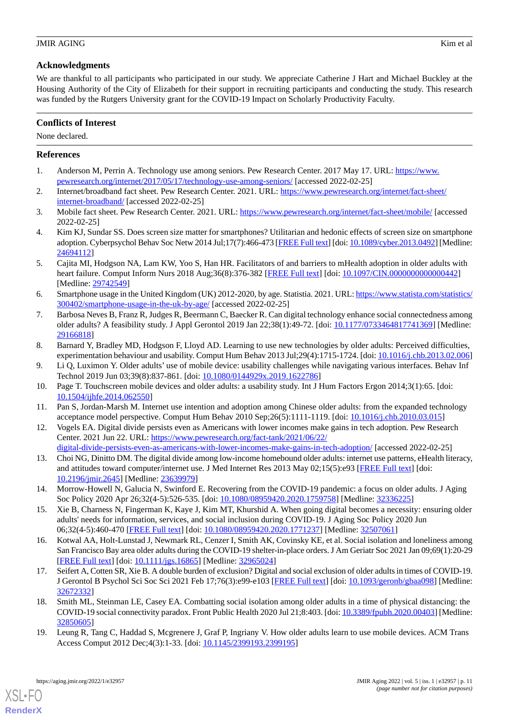## **Acknowledgments**

We are thankful to all participants who participated in our study. We appreciate Catherine J Hart and Michael Buckley at the Housing Authority of the City of Elizabeth for their support in recruiting participants and conducting the study. This research was funded by the Rutgers University grant for the COVID-19 Impact on Scholarly Productivity Faculty.

## **Conflicts of Interest**

None declared.

## <span id="page-10-0"></span>**References**

- <span id="page-10-1"></span>1. Anderson M, Perrin A. Technology use among seniors. Pew Research Center. 2017 May 17. URL: [https://www.](https://www.pewresearch.org/internet/2017/05/17/technology-use-among-seniors/) [pewresearch.org/internet/2017/05/17/technology-use-among-seniors/](https://www.pewresearch.org/internet/2017/05/17/technology-use-among-seniors/) [accessed 2022-02-25]
- <span id="page-10-2"></span>2. Internet/broadband fact sheet. Pew Research Center. 2021. URL: [https://www.pewresearch.org/internet/fact-sheet/](https://www.pewresearch.org/internet/fact-sheet/internet-broadband/) [internet-broadband/](https://www.pewresearch.org/internet/fact-sheet/internet-broadband/) [accessed 2022-02-25]
- <span id="page-10-3"></span>3. Mobile fact sheet. Pew Research Center. 2021. URL: <https://www.pewresearch.org/internet/fact-sheet/mobile/> [accessed 2022-02-25]
- <span id="page-10-4"></span>4. Kim KJ, Sundar SS. Does screen size matter for smartphones? Utilitarian and hedonic effects of screen size on smartphone adoption. Cyberpsychol Behav Soc Netw 2014 Jul;17(7):466-473 [[FREE Full text\]](http://europepmc.org/abstract/MED/24694112) [doi: [10.1089/cyber.2013.0492\]](http://dx.doi.org/10.1089/cyber.2013.0492) [Medline: [24694112](http://www.ncbi.nlm.nih.gov/entrez/query.fcgi?cmd=Retrieve&db=PubMed&list_uids=24694112&dopt=Abstract)]
- <span id="page-10-5"></span>5. Cajita MI, Hodgson NA, Lam KW, Yoo S, Han HR. Facilitators of and barriers to mHealth adoption in older adults with heart failure. Comput Inform Nurs 2018 Aug;36(8):376-382 [\[FREE Full text\]](http://europepmc.org/abstract/MED/29742549) [doi: [10.1097/CIN.0000000000000442\]](http://dx.doi.org/10.1097/CIN.0000000000000442) [Medline: [29742549](http://www.ncbi.nlm.nih.gov/entrez/query.fcgi?cmd=Retrieve&db=PubMed&list_uids=29742549&dopt=Abstract)]
- <span id="page-10-6"></span>6. Smartphone usage in the United Kingdom (UK) 2012-2020, by age. Statistia. 2021. URL: [https://www.statista.com/statistics/](https://www.statista.com/statistics/300402/smartphone-usage-in-the-uk-by-age/) [300402/smartphone-usage-in-the-uk-by-age/](https://www.statista.com/statistics/300402/smartphone-usage-in-the-uk-by-age/) [accessed 2022-02-25]
- <span id="page-10-7"></span>7. Barbosa Neves B, Franz R, Judges R, Beermann C, Baecker R. Can digital technology enhance social connectedness among older adults? A feasibility study. J Appl Gerontol 2019 Jan 22;38(1):49-72. [doi: [10.1177/0733464817741369](http://dx.doi.org/10.1177/0733464817741369)] [Medline: [29166818](http://www.ncbi.nlm.nih.gov/entrez/query.fcgi?cmd=Retrieve&db=PubMed&list_uids=29166818&dopt=Abstract)]
- 8. Barnard Y, Bradley MD, Hodgson F, Lloyd AD. Learning to use new technologies by older adults: Perceived difficulties, experimentation behaviour and usability. Comput Hum Behav 2013 Jul;29(4):1715-1724. [doi: [10.1016/j.chb.2013.02.006](http://dx.doi.org/10.1016/j.chb.2013.02.006)]
- <span id="page-10-8"></span>9. Li Q, Luximon Y. Older adults' use of mobile device: usability challenges while navigating various interfaces. Behav Inf Technol 2019 Jun 03;39(8):837-861. [doi: [10.1080/0144929x.2019.1622786](http://dx.doi.org/10.1080/0144929x.2019.1622786)]
- <span id="page-10-9"></span>10. Page T. Touchscreen mobile devices and older adults: a usability study. Int J Hum Factors Ergon 2014;3(1):65. [doi: [10.1504/ijhfe.2014.062550](http://dx.doi.org/10.1504/ijhfe.2014.062550)]
- <span id="page-10-10"></span>11. Pan S, Jordan-Marsh M. Internet use intention and adoption among Chinese older adults: from the expanded technology acceptance model perspective. Comput Hum Behav 2010 Sep;26(5):1111-1119. [doi: [10.1016/j.chb.2010.03.015](http://dx.doi.org/10.1016/j.chb.2010.03.015)]
- 12. Vogels EA. Digital divide persists even as Americans with lower incomes make gains in tech adoption. Pew Research Center. 2021 Jun 22. URL: [https://www.pewresearch.org/fact-tank/2021/06/22/](https://www.pewresearch.org/fact-tank/2021/06/22/digital-divide-persists-even-as-americans-with-lower-incomes-make-gains-in-tech-adoption/)
- <span id="page-10-12"></span><span id="page-10-11"></span>[digital-divide-persists-even-as-americans-with-lower-incomes-make-gains-in-tech-adoption/](https://www.pewresearch.org/fact-tank/2021/06/22/digital-divide-persists-even-as-americans-with-lower-incomes-make-gains-in-tech-adoption/) [accessed 2022-02-25] 13. Choi NG, Dinitto DM. The digital divide among low-income homebound older adults: internet use patterns, eHealth literacy, and attitudes toward computer/internet use. J Med Internet Res 2013 May 02;15(5):e93 [[FREE Full text](https://www.jmir.org/2013/5/e93/)] [doi: [10.2196/jmir.2645](http://dx.doi.org/10.2196/jmir.2645)] [Medline: [23639979](http://www.ncbi.nlm.nih.gov/entrez/query.fcgi?cmd=Retrieve&db=PubMed&list_uids=23639979&dopt=Abstract)]
- <span id="page-10-13"></span>14. Morrow-Howell N, Galucia N, Swinford E. Recovering from the COVID-19 pandemic: a focus on older adults. J Aging Soc Policy 2020 Apr 26;32(4-5):526-535. [doi: [10.1080/08959420.2020.1759758](http://dx.doi.org/10.1080/08959420.2020.1759758)] [Medline: [32336225\]](http://www.ncbi.nlm.nih.gov/entrez/query.fcgi?cmd=Retrieve&db=PubMed&list_uids=32336225&dopt=Abstract)
- 15. Xie B, Charness N, Fingerman K, Kaye J, Kim MT, Khurshid A. When going digital becomes a necessity: ensuring older adults' needs for information, services, and social inclusion during COVID-19. J Aging Soc Policy 2020 Jun 06;32(4-5):460-470 [\[FREE Full text\]](http://europepmc.org/abstract/MED/32507061) [doi: [10.1080/08959420.2020.1771237](http://dx.doi.org/10.1080/08959420.2020.1771237)] [Medline: [32507061\]](http://www.ncbi.nlm.nih.gov/entrez/query.fcgi?cmd=Retrieve&db=PubMed&list_uids=32507061&dopt=Abstract)
- <span id="page-10-14"></span>16. Kotwal AA, Holt-Lunstad J, Newmark RL, Cenzer I, Smith AK, Covinsky KE, et al. Social isolation and loneliness among San Francisco Bay area older adults during the COVID-19 shelter-in-place orders. J Am Geriatr Soc 2021 Jan 09;69(1):20-29 [[FREE Full text](http://europepmc.org/abstract/MED/32965024)] [doi: [10.1111/jgs.16865\]](http://dx.doi.org/10.1111/jgs.16865) [Medline: [32965024\]](http://www.ncbi.nlm.nih.gov/entrez/query.fcgi?cmd=Retrieve&db=PubMed&list_uids=32965024&dopt=Abstract)
- <span id="page-10-15"></span>17. Seifert A, Cotten SR, Xie B. A double burden of exclusion? Digital and social exclusion of older adults in times of COVID-19. J Gerontol B Psychol Sci Soc Sci 2021 Feb 17;76(3):e99-e103 [[FREE Full text](http://europepmc.org/abstract/MED/32672332)] [doi: [10.1093/geronb/gbaa098\]](http://dx.doi.org/10.1093/geronb/gbaa098) [Medline: [32672332](http://www.ncbi.nlm.nih.gov/entrez/query.fcgi?cmd=Retrieve&db=PubMed&list_uids=32672332&dopt=Abstract)]
- 18. Smith ML, Steinman LE, Casey EA. Combatting social isolation among older adults in a time of physical distancing: the COVID-19 social connectivity paradox. Front Public Health 2020 Jul 21;8:403. [doi: [10.3389/fpubh.2020.00403](http://dx.doi.org/10.3389/fpubh.2020.00403)] [Medline: [32850605](http://www.ncbi.nlm.nih.gov/entrez/query.fcgi?cmd=Retrieve&db=PubMed&list_uids=32850605&dopt=Abstract)]
- 19. Leung R, Tang C, Haddad S, Mcgrenere J, Graf P, Ingriany V. How older adults learn to use mobile devices. ACM Trans Access Comput 2012 Dec;4(3):1-33. [doi: [10.1145/2399193.2399195](http://dx.doi.org/10.1145/2399193.2399195)]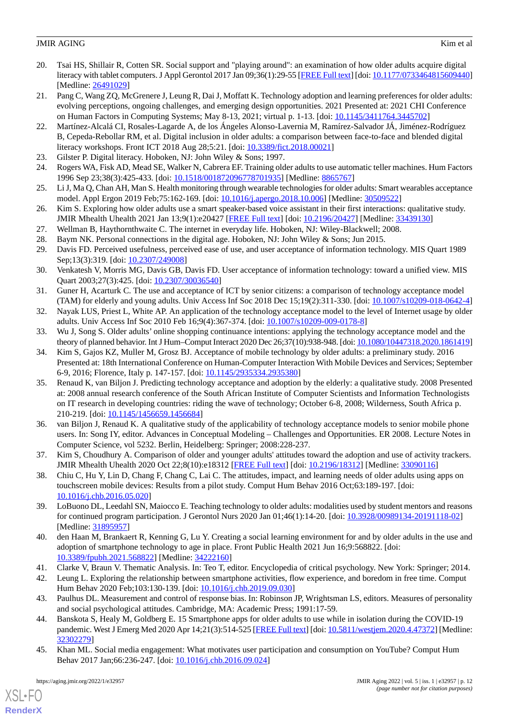- <span id="page-11-0"></span>20. Tsai HS, Shillair R, Cotten SR. Social support and "playing around": an examination of how older adults acquire digital literacy with tablet computers. J Appl Gerontol 2017 Jan 09;36(1):29-55 [[FREE Full text](http://europepmc.org/abstract/MED/26491029)] [doi: [10.1177/0733464815609440\]](http://dx.doi.org/10.1177/0733464815609440) [Medline: [26491029](http://www.ncbi.nlm.nih.gov/entrez/query.fcgi?cmd=Retrieve&db=PubMed&list_uids=26491029&dopt=Abstract)]
- <span id="page-11-1"></span>21. Pang C, Wang ZQ, McGrenere J, Leung R, Dai J, Moffatt K. Technology adoption and learning preferences for older adults: evolving perceptions, ongoing challenges, and emerging design opportunities. 2021 Presented at: 2021 CHI Conference on Human Factors in Computing Systems; May 8-13, 2021; virtual p. 1-13. [doi: [10.1145/3411764.3445702\]](http://dx.doi.org/10.1145/3411764.3445702)
- <span id="page-11-2"></span>22. Martínez-Alcalá CI, Rosales-Lagarde A, de los Ángeles Alonso-Lavernia M, Ramírez-Salvador JÁ, Jiménez-Rodríguez B, Cepeda-Rebollar RM, et al. Digital inclusion in older adults: a comparison between face-to-face and blended digital literacy workshops. Front ICT 2018 Aug 28;5:21. [doi: [10.3389/fict.2018.00021\]](http://dx.doi.org/10.3389/fict.2018.00021)
- <span id="page-11-4"></span><span id="page-11-3"></span>23. Gilster P. Digital literacy. Hoboken, NJ: John Wiley & Sons; 1997.
- <span id="page-11-5"></span>24. Rogers WA, Fisk AD, Mead SE, Walker N, Cabrera EF. Training older adults to use automatic teller machines. Hum Factors 1996 Sep 23;38(3):425-433. [doi: [10.1518/001872096778701935\]](http://dx.doi.org/10.1518/001872096778701935) [Medline: [8865767\]](http://www.ncbi.nlm.nih.gov/entrez/query.fcgi?cmd=Retrieve&db=PubMed&list_uids=8865767&dopt=Abstract)
- <span id="page-11-6"></span>25. Li J, Ma Q, Chan AH, Man S. Health monitoring through wearable technologies for older adults: Smart wearables acceptance model. Appl Ergon 2019 Feb;75:162-169. [doi: [10.1016/j.apergo.2018.10.006\]](http://dx.doi.org/10.1016/j.apergo.2018.10.006) [Medline: [30509522](http://www.ncbi.nlm.nih.gov/entrez/query.fcgi?cmd=Retrieve&db=PubMed&list_uids=30509522&dopt=Abstract)]
- <span id="page-11-8"></span><span id="page-11-7"></span>26. Kim S. Exploring how older adults use a smart speaker-based voice assistant in their first interactions: qualitative study. JMIR Mhealth Uhealth 2021 Jan 13;9(1):e20427 [[FREE Full text](https://mhealth.jmir.org/2021/1/e20427/)] [doi: [10.2196/20427\]](http://dx.doi.org/10.2196/20427) [Medline: [33439130](http://www.ncbi.nlm.nih.gov/entrez/query.fcgi?cmd=Retrieve&db=PubMed&list_uids=33439130&dopt=Abstract)]
- <span id="page-11-9"></span>27. Wellman B, Haythornthwaite C. The internet in everyday life. Hoboken, NJ: Wiley-Blackwell; 2008.
- <span id="page-11-10"></span>28. Baym NK. Personal connections in the digital age. Hoboken, NJ: John Wiley & Sons; Jun 2015.
- 29. Davis FD. Perceived usefulness, perceived ease of use, and user acceptance of information technology. MIS Quart 1989 Sep;13(3):319. [doi: [10.2307/249008](http://dx.doi.org/10.2307/249008)]
- <span id="page-11-11"></span>30. Venkatesh V, Morris MG, Davis GB, Davis FD. User acceptance of information technology: toward a unified view. MIS Quart 2003;27(3):425. [doi: [10.2307/30036540\]](http://dx.doi.org/10.2307/30036540)
- <span id="page-11-12"></span>31. Guner H, Acarturk C. The use and acceptance of ICT by senior citizens: a comparison of technology acceptance model (TAM) for elderly and young adults. Univ Access Inf Soc 2018 Dec 15;19(2):311-330. [doi: [10.1007/s10209-018-0642-4](http://dx.doi.org/10.1007/s10209-018-0642-4)]
- <span id="page-11-13"></span>32. Nayak LUS, Priest L, White AP. An application of the technology acceptance model to the level of Internet usage by older adults. Univ Access Inf Soc 2010 Feb 16;9(4):367-374. [doi: [10.1007/s10209-009-0178-8](http://dx.doi.org/10.1007/s10209-009-0178-8)]
- 33. Wu J, Song S. Older adults' online shopping continuance intentions: applying the technology acceptance model and the theory of planned behavior. Int J Hum–Comput Interact 2020 Dec 26;37(10):938-948. [doi: [10.1080/10447318.2020.1861419\]](http://dx.doi.org/10.1080/10447318.2020.1861419)
- <span id="page-11-15"></span>34. Kim S, Gajos KZ, Muller M, Grosz BJ. Acceptance of mobile technology by older adults: a preliminary study. 2016 Presented at: 18th International Conference on Human-Computer Interaction With Mobile Devices and Services; September 6-9, 2016; Florence, Italy p. 147-157. [doi: [10.1145/2935334.2935380](http://dx.doi.org/10.1145/2935334.2935380)]
- <span id="page-11-14"></span>35. Renaud K, van Biljon J. Predicting technology acceptance and adoption by the elderly: a qualitative study. 2008 Presented at: 2008 annual research conference of the South African Institute of Computer Scientists and Information Technologists on IT research in developing countries: riding the wave of technology; October 6-8, 2008; Wilderness, South Africa p. 210-219. [doi: [10.1145/1456659.1456684](http://dx.doi.org/10.1145/1456659.1456684)]
- <span id="page-11-17"></span><span id="page-11-16"></span>36. van Biljon J, Renaud K. A qualitative study of the applicability of technology acceptance models to senior mobile phone users. In: Song IY, editor. Advances in Conceptual Modeling – Challenges and Opportunities. ER 2008. Lecture Notes in Computer Science, vol 5232. Berlin, Heidelberg: Springer; 2008:228-237.
- <span id="page-11-18"></span>37. Kim S, Choudhury A. Comparison of older and younger adults' attitudes toward the adoption and use of activity trackers. JMIR Mhealth Uhealth 2020 Oct 22;8(10):e18312 [[FREE Full text](https://mhealth.jmir.org/2020/10/e18312/)] [doi: [10.2196/18312\]](http://dx.doi.org/10.2196/18312) [Medline: [33090116](http://www.ncbi.nlm.nih.gov/entrez/query.fcgi?cmd=Retrieve&db=PubMed&list_uids=33090116&dopt=Abstract)]
- <span id="page-11-19"></span>38. Chiu C, Hu Y, Lin D, Chang F, Chang C, Lai C. The attitudes, impact, and learning needs of older adults using apps on touchscreen mobile devices: Results from a pilot study. Comput Hum Behav 2016 Oct;63:189-197. [doi: [10.1016/j.chb.2016.05.020\]](http://dx.doi.org/10.1016/j.chb.2016.05.020)
- <span id="page-11-21"></span><span id="page-11-20"></span>39. LoBuono DL, Leedahl SN, Maiocco E. Teaching technology to older adults: modalities used by student mentors and reasons for continued program participation. J Gerontol Nurs 2020 Jan 01;46(1):14-20. [doi: [10.3928/00989134-20191118-02](http://dx.doi.org/10.3928/00989134-20191118-02)] [Medline: [31895957](http://www.ncbi.nlm.nih.gov/entrez/query.fcgi?cmd=Retrieve&db=PubMed&list_uids=31895957&dopt=Abstract)]
- <span id="page-11-22"></span>40. den Haan M, Brankaert R, Kenning G, Lu Y. Creating a social learning environment for and by older adults in the use and adoption of smartphone technology to age in place. Front Public Health 2021 Jun 16;9:568822. [doi: [10.3389/fpubh.2021.568822](http://dx.doi.org/10.3389/fpubh.2021.568822)] [Medline: [34222160\]](http://www.ncbi.nlm.nih.gov/entrez/query.fcgi?cmd=Retrieve&db=PubMed&list_uids=34222160&dopt=Abstract)
- <span id="page-11-23"></span>41. Clarke V, Braun V. Thematic Analysis. In: Teo T, editor. Encyclopedia of critical psychology. New York: Springer; 2014.
- <span id="page-11-24"></span>42. Leung L. Exploring the relationship between smartphone activities, flow experience, and boredom in free time. Comput Hum Behav 2020 Feb;103:130-139. [doi: [10.1016/j.chb.2019.09.030\]](http://dx.doi.org/10.1016/j.chb.2019.09.030)
- 43. Paulhus DL. Measurement and control of response bias. In: Robinson JP, Wrightsman LS, editors. Measures of personality and social psychological attitudes. Cambridge, MA: Academic Press; 1991:17-59.
- 44. Banskota S, Healy M, Goldberg E. 15 Smartphone apps for older adults to use while in isolation during the COVID-19 pandemic. West J Emerg Med 2020 Apr 14;21(3):514-525 [\[FREE Full text\]](http://europepmc.org/abstract/MED/32302279) [doi: [10.5811/westjem.2020.4.47372\]](http://dx.doi.org/10.5811/westjem.2020.4.47372) [Medline: [32302279](http://www.ncbi.nlm.nih.gov/entrez/query.fcgi?cmd=Retrieve&db=PubMed&list_uids=32302279&dopt=Abstract)]
- 45. Khan ML. Social media engagement: What motivates user participation and consumption on YouTube? Comput Hum Behav 2017 Jan;66:236-247. [doi: [10.1016/j.chb.2016.09.024\]](http://dx.doi.org/10.1016/j.chb.2016.09.024)